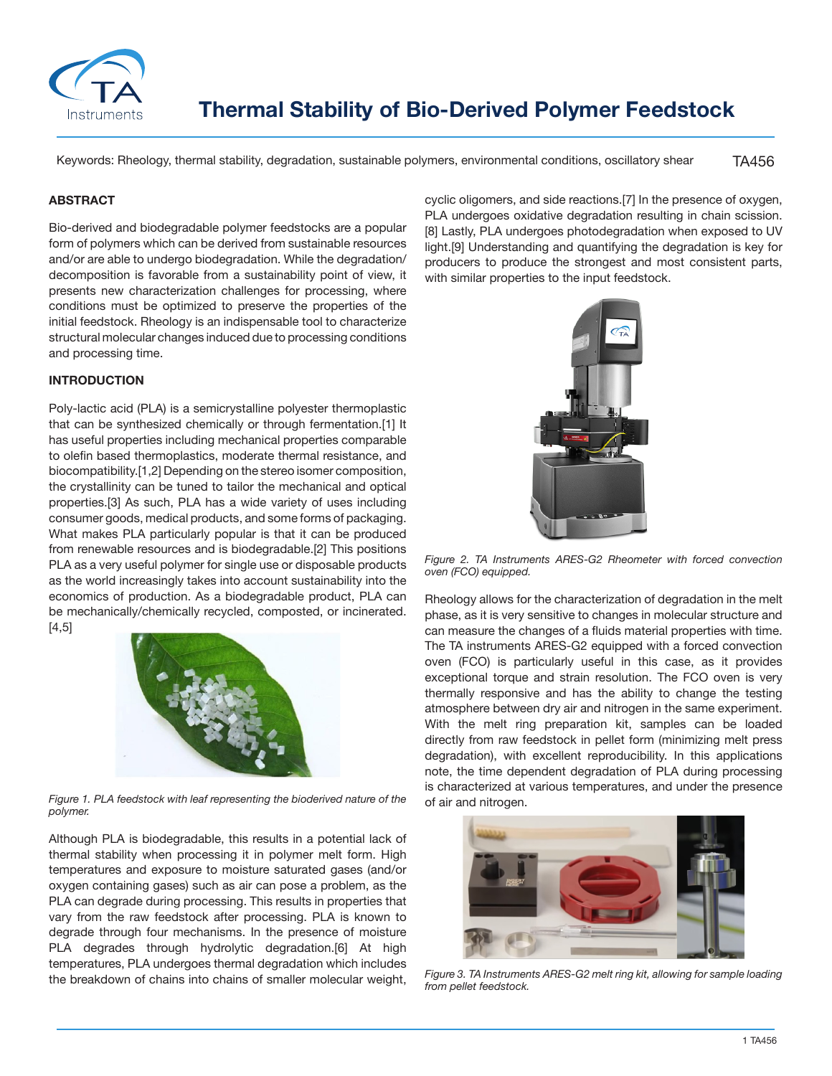

TA456 Keywords: Rheology, thermal stability, degradation, sustainable polymers, environmental conditions, oscillatory shear

### **ABSTRACT**

Bio-derived and biodegradable polymer feedstocks are a popular form of polymers which can be derived from sustainable resources and/or are able to undergo biodegradation. While the degradation/ decomposition is favorable from a sustainability point of view, it presents new characterization challenges for processing, where conditions must be optimized to preserve the properties of the initial feedstock. Rheology is an indispensable tool to characterize structural molecular changes induced due to processing conditions and processing time.

## **INTRODUCTION**

Poly-lactic acid (PLA) is a semicrystalline polyester thermoplastic that can be synthesized chemically or through fermentation.[1] It has useful properties including mechanical properties comparable to olefin based thermoplastics, moderate thermal resistance, and biocompatibility.[1,2] Depending on the stereo isomer composition, the crystallinity can be tuned to tailor the mechanical and optical properties.[3] As such, PLA has a wide variety of uses including consumer goods, medical products, and some forms of packaging. What makes PLA particularly popular is that it can be produced from renewable resources and is biodegradable.[2] This positions PLA as a very useful polymer for single use or disposable products as the world increasingly takes into account sustainability into the economics of production. As a biodegradable product, PLA can be mechanically/chemically recycled, composted, or incinerated. [4,5]



*Figure 1. PLA feedstock with leaf representing the bioderived nature of the polymer.*

Although PLA is biodegradable, this results in a potential lack of thermal stability when processing it in polymer melt form. High temperatures and exposure to moisture saturated gases (and/or oxygen containing gases) such as air can pose a problem, as the PLA can degrade during processing. This results in properties that vary from the raw feedstock after processing. PLA is known to degrade through four mechanisms. In the presence of moisture PLA degrades through hydrolytic degradation.[6] At high temperatures, PLA undergoes thermal degradation which includes the breakdown of chains into chains of smaller molecular weight,

cyclic oligomers, and side reactions.[7] In the presence of oxygen, PLA undergoes oxidative degradation resulting in chain scission. [8] Lastly, PLA undergoes photodegradation when exposed to UV light.[9] Understanding and quantifying the degradation is key for producers to produce the strongest and most consistent parts, with similar properties to the input feedstock.



*Figure 2. TA Instruments ARES-G2 Rheometer with forced convection oven (FCO) equipped.*

Rheology allows for the characterization of degradation in the melt phase, as it is very sensitive to changes in molecular structure and can measure the changes of a fluids material properties with time. The TA instruments ARES-G2 equipped with a forced convection oven (FCO) is particularly useful in this case, as it provides exceptional torque and strain resolution. The FCO oven is very thermally responsive and has the ability to change the testing atmosphere between dry air and nitrogen in the same experiment. With the melt ring preparation kit, samples can be loaded directly from raw feedstock in pellet form (minimizing melt press degradation), with excellent reproducibility. In this applications note, the time dependent degradation of PLA during processing is characterized at various temperatures, and under the presence of air and nitrogen.



*Figure 3. TA Instruments ARES-G2 melt ring kit, allowing for sample loading from pellet feedstock.*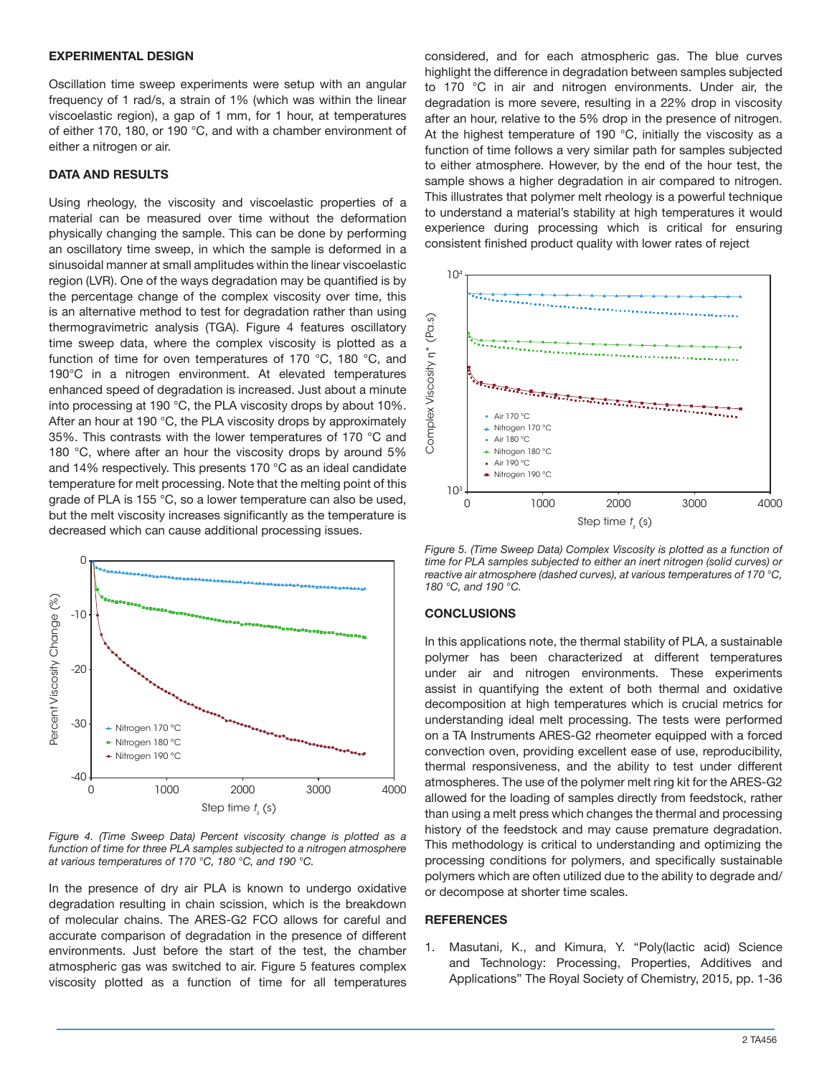#### **EXPERIMENTAL DESIGN**

Oscillation time sweep experiments were setup with an angular frequency of 1 rad/s, a strain of 1% (which was within the linear viscoelastic region), a gap of 1 mm, for 1 hour, at temperatures of either 170, 180, or 190 °C, and with a chamber environment of either a nitrogen or air.

### **DATA AND RESULTS**

Using rheology, the viscosity and viscoelastic properties of a material can be measured over time without the deformation physically changing the sample. This can be done by performing an oscillatory time sweep, in which the sample is deformed in a sinusoidal manner at small amplitudes within the linear viscoelastic region (LVR). One of the ways degradation may be quantified is by the percentage change of the complex viscosity over time, this is an alternative method to test for degradation rather than using thermogravimetric analysis (TGA). Figure 4 features oscillatory time sweep data, where the complex viscosity is plotted as a function of time for oven temperatures of 170 °C, 180 °C, and 190°C in a nitrogen environment. At elevated temperatures enhanced speed of degradation is increased. Just about a minute into processing at 190 °C, the PLA viscosity drops by about 10%. After an hour at 190 °C, the PLA viscosity drops by approximately 35%. This contrasts with the lower temperatures of 170 °C and 180 °C, where after an hour the viscosity drops by around 5% and 14% respectively. This presents 170 °C as an ideal candidate temperature for melt processing. Note that the melting point of this grade of PLA is 155 °C, so a lower temperature can also be used, but the melt viscosity increases significantly as the temperature is decreased which can cause additional processing issues.



*Figure 4. (Time Sweep Data) Percent viscosity change is plotted as a function of time for three PLA samples subjected to a nitrogen atmosphere at various temperatures of 170 °C, 180 °C, and 190 °C.*

In the presence of dry air PLA is known to undergo oxidative degradation resulting in chain scission, which is the breakdown of molecular chains. The ARES-G2 FCO allows for careful and accurate comparison of degradation in the presence of different environments. Just before the start of the test, the chamber atmospheric gas was switched to air. Figure 5 features complex viscosity plotted as a function of time for all temperatures considered, and for each atmospheric gas. The blue curves highlight the difference in degradation between samples subjected to 170 °C in air and nitrogen environments. Under air, the degradation is more severe, resulting in a 22% drop in viscosity after an hour, relative to the 5% drop in the presence of nitrogen. At the highest temperature of 190 °C, initially the viscosity as a function of time follows a very similar path for samples subjected to either atmosphere. However, by the end of the hour test, the sample shows a higher degradation in air compared to nitrogen. This illustrates that polymer melt rheology is a powerful technique to understand a material's stability at high temperatures it would experience during processing which is critical for ensuring consistent finished product quality with lower rates of reject



*Figure 5. (Time Sweep Data) Complex Viscosity is plotted as a function of time for PLA samples subjected to either an inert nitrogen (solid curves) or reactive air atmosphere (dashed curves), at various temperatures of 170 °C, 180 °C, and 190 °C.*

# **CONCLUSIONS**

In this applications note, the thermal stability of PLA, a sustainable polymer has been characterized at different temperatures under air and nitrogen environments. These experiments assist in quantifying the extent of both thermal and oxidative decomposition at high temperatures which is crucial metrics for understanding ideal melt processing. The tests were performed on a TA Instruments ARES-G2 rheometer equipped with a forced convection oven, providing excellent ease of use, reproducibility, thermal responsiveness, and the ability to test under different atmospheres. The use of the polymer melt ring kit for the ARES-G2 allowed for the loading of samples directly from feedstock, rather than using a melt press which changes the thermal and processing history of the feedstock and may cause premature degradation. This methodology is critical to understanding and optimizing the processing conditions for polymers, and specifically sustainable polymers which are often utilized due to the ability to degrade and/ or decompose at shorter time scales.

#### **REFERENCES**

1. Masutani, K., and Kimura, Y. "Poly(lactic acid) Science and Technology: Processing, Properties, Additives and Applications" The Royal Society of Chemistry, 2015, pp. 1-36